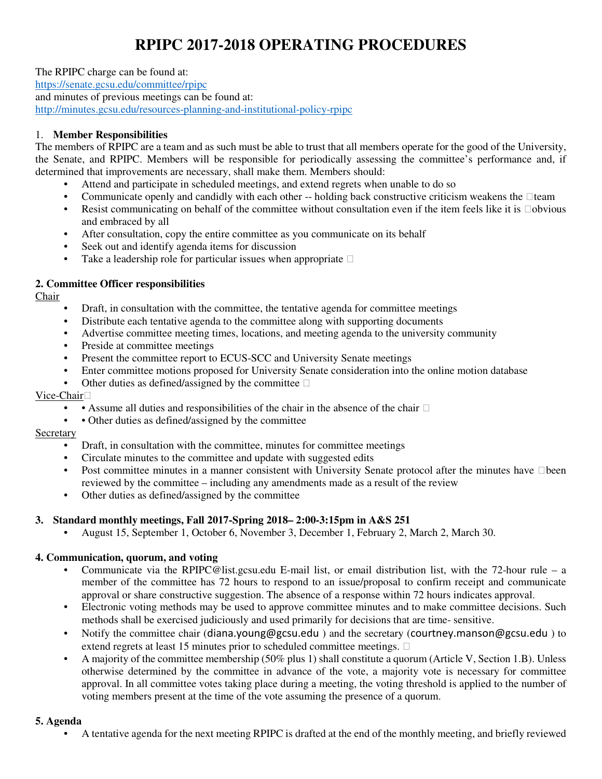# **RPIPC 2017-2018 OPERATING PROCEDURES**

The RPIPC charge can be found at: https://senate.gcsu.edu/committee/rpipc and minutes of previous meetings can be found at: http://minutes.gcsu.edu/resources-planning-and-institutional-policy-rpipc

# 1. **Member Responsibilities**

The members of RPIPC are a team and as such must be able to trust that all members operate for the good of the University, the Senate, and RPIPC. Members will be responsible for periodically assessing the committee's performance and, if determined that improvements are necessary, shall make them. Members should:

- Attend and participate in scheduled meetings, and extend regrets when unable to do so
- Communicate openly and candidly with each other -- holding back constructive criticism weakens the team
- Resist communicating on behalf of the committee without consultation even if the item feels like it is obvious and embraced by all
- After consultation, copy the entire committee as you communicate on its behalf
- Seek out and identify agenda items for discussion
- Take a leadership role for particular issues when appropriate

## **2. Committee Officer responsibilities**

Chair

- Draft, in consultation with the committee, the tentative agenda for committee meetings
- Distribute each tentative agenda to the committee along with supporting documents
- Advertise committee meeting times, locations, and meeting agenda to the university community
- Preside at committee meetings
- Present the committee report to ECUS-SCC and University Senate meetings
- Enter committee motions proposed for University Senate consideration into the online motion database
- Other duties as defined/assigned by the committee

## Vice-Chair

- • Assume all duties and responsibilities of the chair in the absence of the chair
- • Other duties as defined/assigned by the committee

#### **Secretary**

- Draft, in consultation with the committee, minutes for committee meetings
- Circulate minutes to the committee and update with suggested edits
- Post committee minutes in a manner consistent with University Senate protocol after the minutes have been reviewed by the committee – including any amendments made as a result of the review
- Other duties as defined/assigned by the committee

## **3. Standard monthly meetings, Fall 2017-Spring 2018– 2:00-3:15pm in A&S 251**

• August 15, September 1, October 6, November 3, December 1, February 2, March 2, March 30.

## **4. Communication, quorum, and voting**

- Communicate via the RPIPC@list.gcsu.edu E-mail list, or email distribution list, with the 72-hour rule a member of the committee has 72 hours to respond to an issue/proposal to confirm receipt and communicate approval or share constructive suggestion. The absence of a response within 72 hours indicates approval.
- Electronic voting methods may be used to approve committee minutes and to make committee decisions. Such methods shall be exercised judiciously and used primarily for decisions that are time- sensitive.
- Notify the committee chair (diana.young@gcsu.edu ) and the secretary (courtney.manson@gcsu.edu ) to extend regrets at least 15 minutes prior to scheduled committee meetings.
- A majority of the committee membership (50% plus 1) shall constitute a quorum (Article V, Section 1.B). Unless otherwise determined by the committee in advance of the vote, a majority vote is necessary for committee approval. In all committee votes taking place during a meeting, the voting threshold is applied to the number of voting members present at the time of the vote assuming the presence of a quorum.

## **5. Agenda**

• A tentative agenda for the next meeting RPIPC is drafted at the end of the monthly meeting, and briefly reviewed